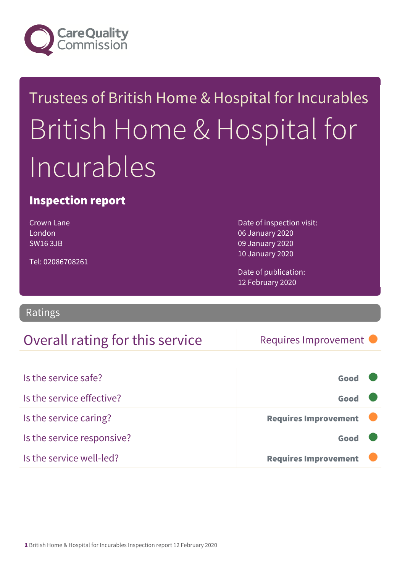

# Trustees of British Home & Hospital for Incurables British Home & Hospital for Incurables

### Inspection report

Crown Lane London SW16 3JB

Tel: 02086708261

Date of inspection visit: 06 January 2020 09 January 2020 10 January 2020

Date of publication: 12 February 2020

**Ratings** 

### Overall rating for this service Requires Improvement

| Is the service safe?       | Good                        |  |
|----------------------------|-----------------------------|--|
| Is the service effective?  | Good                        |  |
| Is the service caring?     | <b>Requires Improvement</b> |  |
| Is the service responsive? | Good                        |  |
| Is the service well-led?   | <b>Requires Improvement</b> |  |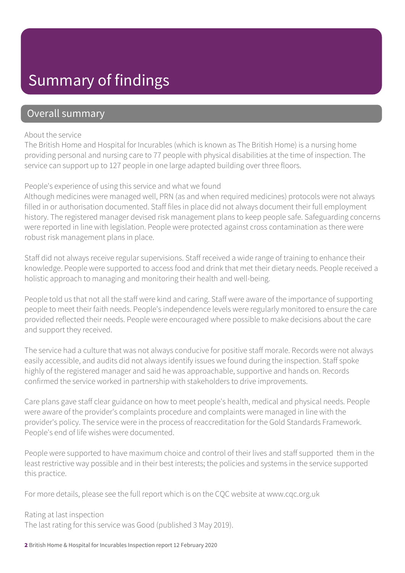### Summary of findings

### Overall summary

#### About the service

The British Home and Hospital for Incurables (which is known as The British Home) is a nursing home providing personal and nursing care to 77 people with physical disabilities at the time of inspection. The service can support up to 127 people in one large adapted building over three floors.

#### People's experience of using this service and what we found

Although medicines were managed well, PRN (as and when required medicines) protocols were not always filled in or authorisation documented. Staff files in place did not always document their full employment history. The registered manager devised risk management plans to keep people safe. Safeguarding concerns were reported in line with legislation. People were protected against cross contamination as there were robust risk management plans in place.

Staff did not always receive regular supervisions. Staff received a wide range of training to enhance their knowledge. People were supported to access food and drink that met their dietary needs. People received a holistic approach to managing and monitoring their health and well-being.

People told us that not all the staff were kind and caring. Staff were aware of the importance of supporting people to meet their faith needs. People's independence levels were regularly monitored to ensure the care provided reflected their needs. People were encouraged where possible to make decisions about the care and support they received.

The service had a culture that was not always conducive for positive staff morale. Records were not always easily accessible, and audits did not always identify issues we found during the inspection. Staff spoke highly of the registered manager and said he was approachable, supportive and hands on. Records confirmed the service worked in partnership with stakeholders to drive improvements.

Care plans gave staff clear guidance on how to meet people's health, medical and physical needs. People were aware of the provider's complaints procedure and complaints were managed in line with the provider's policy. The service were in the process of reaccreditation for the Gold Standards Framework. People's end of life wishes were documented.

People were supported to have maximum choice and control of their lives and staff supported them in the least restrictive way possible and in their best interests; the policies and systems in the service supported this practice.

For more details, please see the full report which is on the CQC website at www.cqc.org.uk

Rating at last inspection The last rating for this service was Good (published 3 May 2019).

2 British Home & Hospital for Incurables Inspection report 12 February 2020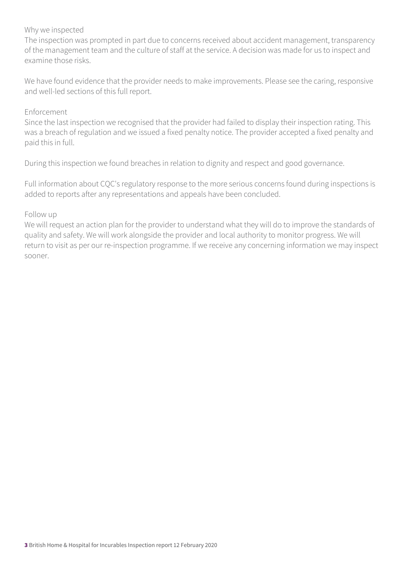#### Why we inspected

The inspection was prompted in part due to concerns received about accident management, transparency of the management team and the culture of staff at the service. A decision was made for us to inspect and examine those risks.

We have found evidence that the provider needs to make improvements. Please see the caring, responsive and well-led sections of this full report.

#### Enforcement

Since the last inspection we recognised that the provider had failed to display their inspection rating. This was a breach of regulation and we issued a fixed penalty notice. The provider accepted a fixed penalty and paid this in full.

During this inspection we found breaches in relation to dignity and respect and good governance.

Full information about CQC's regulatory response to the more serious concerns found during inspections is added to reports after any representations and appeals have been concluded.

#### Follow up

We will request an action plan for the provider to understand what they will do to improve the standards of quality and safety. We will work alongside the provider and local authority to monitor progress. We will return to visit as per our re-inspection programme. If we receive any concerning information we may inspect sooner.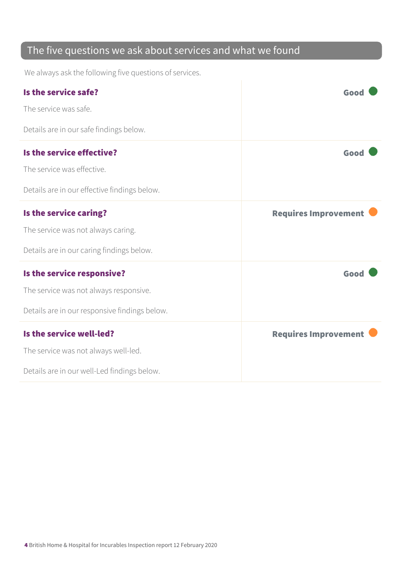### The five questions we ask about services and what we found

We always ask the following five questions of services.

| Is the service safe?                          | Good                        |
|-----------------------------------------------|-----------------------------|
| The service was safe.                         |                             |
| Details are in our safe findings below.       |                             |
| Is the service effective?                     | Good                        |
| The service was effective.                    |                             |
| Details are in our effective findings below.  |                             |
| Is the service caring?                        | <b>Requires Improvement</b> |
| The service was not always caring.            |                             |
| Details are in our caring findings below.     |                             |
| Is the service responsive?                    | Good                        |
| The service was not always responsive.        |                             |
| Details are in our responsive findings below. |                             |
| Is the service well-led?                      | <b>Requires Improvement</b> |
| The service was not always well-led.          |                             |
| Details are in our well-Led findings below.   |                             |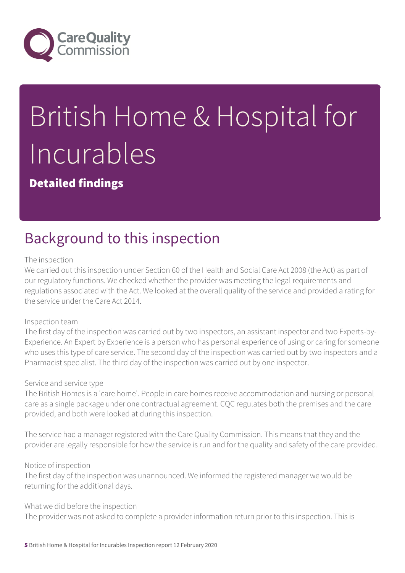

# British Home & Hospital for Incurables

Detailed findings

### Background to this inspection

#### The inspection

We carried out this inspection under Section 60 of the Health and Social Care Act 2008 (the Act) as part of our regulatory functions. We checked whether the provider was meeting the legal requirements and regulations associated with the Act. We looked at the overall quality of the service and provided a rating for the service under the Care Act 2014.

#### Inspection team

The first day of the inspection was carried out by two inspectors, an assistant inspector and two Experts-by-Experience. An Expert by Experience is a person who has personal experience of using or caring for someone who uses this type of care service. The second day of the inspection was carried out by two inspectors and a Pharmacist specialist. The third day of the inspection was carried out by one inspector.

#### Service and service type

The British Homes is a 'care home'. People in care homes receive accommodation and nursing or personal care as a single package under one contractual agreement. CQC regulates both the premises and the care provided, and both were looked at during this inspection.

The service had a manager registered with the Care Quality Commission. This means that they and the provider are legally responsible for how the service is run and for the quality and safety of the care provided.

#### Notice of inspection

The first day of the inspection was unannounced. We informed the registered manager we would be returning for the additional days.

#### What we did before the inspection

The provider was not asked to complete a provider information return prior to this inspection. This is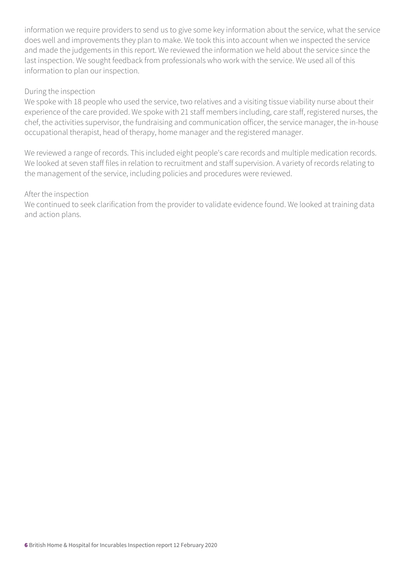information we require providers to send us to give some key information about the service, what the service does well and improvements they plan to make. We took this into account when we inspected the service and made the judgements in this report. We reviewed the information we held about the service since the last inspection. We sought feedback from professionals who work with the service. We used all of this information to plan our inspection.

#### During the inspection

We spoke with 18 people who used the service, two relatives and a visiting tissue viability nurse about their experience of the care provided. We spoke with 21 staff members including, care staff, registered nurses, the chef, the activities supervisor, the fundraising and communication officer, the service manager, the in-house occupational therapist, head of therapy, home manager and the registered manager.

We reviewed a range of records. This included eight people's care records and multiple medication records. We looked at seven staff files in relation to recruitment and staff supervision. A variety of records relating to the management of the service, including policies and procedures were reviewed.

#### After the inspection

We continued to seek clarification from the provider to validate evidence found. We looked at training data and action plans.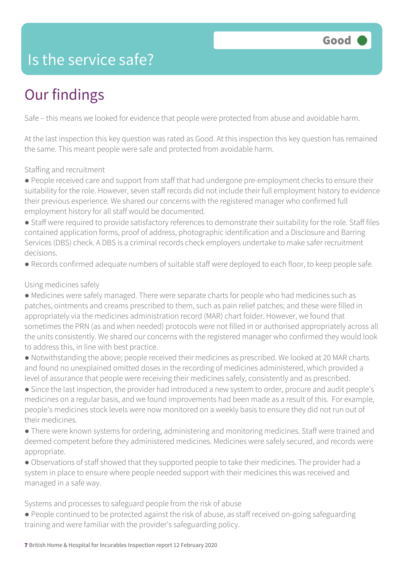### Is the service safe?

# Our findings

Safe – this means we looked for evidence that people were protected from abuse and avoidable harm.

At the last inspection this key question was rated as Good. At this inspection this key question has remained the same. This meant people were safe and protected from avoidable harm.

#### Staffing and recruitment

● People received care and support from staff that had undergone pre-employment checks to ensure their suitability for the role. However, seven staff records did not include their full employment history to evidence their previous experience. We shared our concerns with the registered manager who confirmed full employment history for all staff would be documented.

● Staff were required to provide satisfactory references to demonstrate their suitability for the role. Staff files contained application forms, proof of address, photographic identification and a Disclosure and Barring Services (DBS) check. A DBS is a criminal records check employers undertake to make safer recruitment decisions.

● Records confirmed adequate numbers of suitable staff were deployed to each floor, to keep people safe.

#### Using medicines safely

● Medicines were safely managed. There were separate charts for people who had medicines such as patches, ointments and creams prescribed to them, such as pain relief patches; and these were filled in appropriately via the medicines administration record (MAR) chart folder. However, we found that sometimes the PRN (as and when needed) protocols were not filled in or authorised appropriately across all the units consistently. We shared our concerns with the registered manager who confirmed they would look to address this, in line with best practice.

● Notwithstanding the above; people received their medicines as prescribed. We looked at 20 MAR charts and found no unexplained omitted doses in the recording of medicines administered, which provided a level of assurance that people were receiving their medicines safely, consistently and as prescribed.

● Since the last inspection, the provider had introduced a new system to order, procure and audit people's medicines on a regular basis, and we found improvements had been made as a result of this. For example, people's medicines stock levels were now monitored on a weekly basis to ensure they did not run out of their medicines.

● There were known systems for ordering, administering and monitoring medicines. Staff were trained and deemed competent before they administered medicines. Medicines were safely secured, and records were appropriate.

● Observations of staff showed that they supported people to take their medicines. The provider had a system in place to ensure where people needed support with their medicines this was received and managed in a safe way.

Systems and processes to safeguard people from the risk of abuse

● People continued to be protected against the risk of abuse, as staff received on-going safeguarding training and were familiar with the provider's safeguarding policy.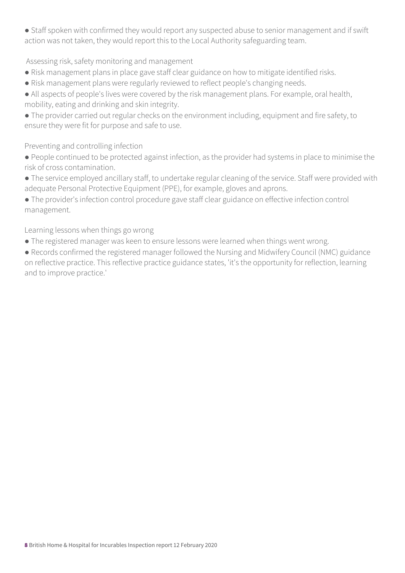• Staff spoken with confirmed they would report any suspected abuse to senior management and if swift action was not taken, they would report this to the Local Authority safeguarding team.

Assessing risk, safety monitoring and management

- Risk management plans in place gave staff clear guidance on how to mitigate identified risks.
- Risk management plans were regularly reviewed to reflect people's changing needs.
- All aspects of people's lives were covered by the risk management plans. For example, oral health, mobility, eating and drinking and skin integrity.
- The provider carried out regular checks on the environment including, equipment and fire safety, to ensure they were fit for purpose and safe to use.

Preventing and controlling infection

● People continued to be protected against infection, as the provider had systems in place to minimise the risk of cross contamination.

● The service employed ancillary staff, to undertake regular cleaning of the service. Staff were provided with adequate Personal Protective Equipment (PPE), for example, gloves and aprons.

● The provider's infection control procedure gave staff clear guidance on effective infection control management.

Learning lessons when things go wrong

• The registered manager was keen to ensure lessons were learned when things went wrong.

● Records confirmed the registered manager followed the Nursing and Midwifery Council (NMC) guidance on reflective practice. This reflective practice guidance states, 'it's the opportunity for reflection, learning and to improve practice.'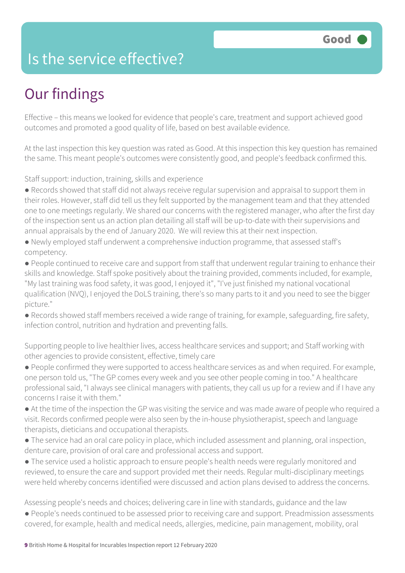### Is the service effective?

## Our findings

Effective – this means we looked for evidence that people's care, treatment and support achieved good outcomes and promoted a good quality of life, based on best available evidence.

At the last inspection this key question was rated as Good. At this inspection this key question has remained the same. This meant people's outcomes were consistently good, and people's feedback confirmed this.

Staff support: induction, training, skills and experience

- Records showed that staff did not always receive regular supervision and appraisal to support them in their roles. However, staff did tell us they felt supported by the management team and that they attended one to one meetings regularly. We shared our concerns with the registered manager, who after the first day of the inspection sent us an action plan detailing all staff will be up-to-date with their supervisions and annual appraisals by the end of January 2020. We will review this at their next inspection.
- Newly employed staff underwent a comprehensive induction programme, that assessed staff's competency.
- People continued to receive care and support from staff that underwent regular training to enhance their skills and knowledge. Staff spoke positively about the training provided, comments included, for example, "My last training was food safety, it was good, I enjoyed it", "I've just finished my national vocational qualification (NVQ), I enjoyed the DoLS training, there's so many parts to it and you need to see the bigger picture."
- Records showed staff members received a wide range of training, for example, safeguarding, fire safety, infection control, nutrition and hydration and preventing falls.

Supporting people to live healthier lives, access healthcare services and support; and Staff working with other agencies to provide consistent, effective, timely care

- People confirmed they were supported to access healthcare services as and when required. For example, one person told us, "The GP comes every week and you see other people coming in too." A healthcare professional said, "I always see clinical managers with patients, they call us up for a review and if I have any concerns I raise it with them."
- At the time of the inspection the GP was visiting the service and was made aware of people who required a visit. Records confirmed people were also seen by the in-house physiotherapist, speech and language therapists, dieticians and occupational therapists.
- The service had an oral care policy in place, which included assessment and planning, oral inspection, denture care, provision of oral care and professional access and support.
- The service used a holistic approach to ensure people's health needs were regularly monitored and reviewed, to ensure the care and support provided met their needs. Regular multi-disciplinary meetings were held whereby concerns identified were discussed and action plans devised to address the concerns.

Assessing people's needs and choices; delivering care in line with standards, guidance and the law ● People's needs continued to be assessed prior to receiving care and support. Preadmission assessments

covered, for example, health and medical needs, allergies, medicine, pain management, mobility, oral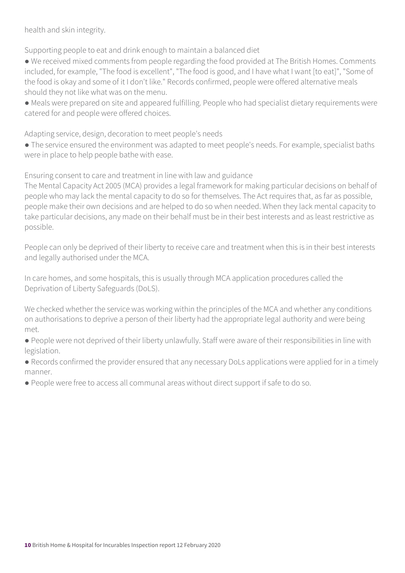health and skin integrity.

Supporting people to eat and drink enough to maintain a balanced diet

● We received mixed comments from people regarding the food provided at The British Homes. Comments included, for example, "The food is excellent", "The food is good, and I have what I want [to eat]", "Some of the food is okay and some of it I don't like." Records confirmed, people were offered alternative meals should they not like what was on the menu.

● Meals were prepared on site and appeared fulfilling. People who had specialist dietary requirements were catered for and people were offered choices.

Adapting service, design, decoration to meet people's needs

● The service ensured the environment was adapted to meet people's needs. For example, specialist baths were in place to help people bathe with ease.

Ensuring consent to care and treatment in line with law and guidance

The Mental Capacity Act 2005 (MCA) provides a legal framework for making particular decisions on behalf of people who may lack the mental capacity to do so for themselves. The Act requires that, as far as possible, people make their own decisions and are helped to do so when needed. When they lack mental capacity to take particular decisions, any made on their behalf must be in their best interests and as least restrictive as possible.

People can only be deprived of their liberty to receive care and treatment when this is in their best interests and legally authorised under the MCA.

In care homes, and some hospitals, this is usually through MCA application procedures called the Deprivation of Liberty Safeguards (DoLS).

We checked whether the service was working within the principles of the MCA and whether any conditions on authorisations to deprive a person of their liberty had the appropriate legal authority and were being met.

● People were not deprived of their liberty unlawfully. Staff were aware of their responsibilities in line with legislation.

● Records confirmed the provider ensured that any necessary DoLs applications were applied for in a timely manner.

● People were free to access all communal areas without direct support if safe to do so.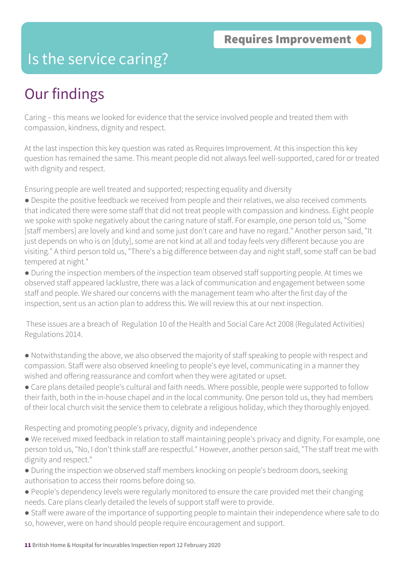### Is the service caring?

### Our findings

Caring – this means we looked for evidence that the service involved people and treated them with compassion, kindness, dignity and respect.

At the last inspection this key question was rated as Requires Improvement. At this inspection this key question has remained the same. This meant people did not always feel well-supported, cared for or treated with dignity and respect.

Ensuring people are well treated and supported; respecting equality and diversity

● Despite the positive feedback we received from people and their relatives, we also received comments that indicated there were some staff that did not treat people with compassion and kindness. Eight people we spoke with spoke negatively about the caring nature of staff. For example, one person told us, "Some [staff members] are lovely and kind and some just don't care and have no regard." Another person said, "It just depends on who is on [duty], some are not kind at all and today feels very different because you are visiting." A third person told us, "There's a big difference between day and night staff, some staff can be bad tempered at night."

● During the inspection members of the inspection team observed staff supporting people. At times we observed staff appeared lacklustre, there was a lack of communication and engagement between some staff and people. We shared our concerns with the management team who after the first day of the inspection, sent us an action plan to address this. We will review this at our next inspection.

 These issues are a breach of Regulation 10 of the Health and Social Care Act 2008 (Regulated Activities) Regulations 2014.

- Notwithstanding the above, we also observed the majority of staff speaking to people with respect and compassion. Staff were also observed kneeling to people's eye level, communicating in a manner they wished and offering reassurance and comfort when they were agitated or upset.
- Care plans detailed people's cultural and faith needs. Where possible, people were supported to follow their faith, both in the in-house chapel and in the local community. One person told us, they had members of their local church visit the service them to celebrate a religious holiday, which they thoroughly enjoyed.

Respecting and promoting people's privacy, dignity and independence

- We received mixed feedback in relation to staff maintaining people's privacy and dignity. For example, one person told us, "No, I don't think staff are respectful." However, another person said, "The staff treat me with dignity and respect."
- During the inspection we observed staff members knocking on people's bedroom doors, seeking authorisation to access their rooms before doing so.
- People's dependency levels were regularly monitored to ensure the care provided met their changing needs. Care plans clearly detailed the levels of support staff were to provide.
- Staff were aware of the importance of supporting people to maintain their independence where safe to do so, however, were on hand should people require encouragement and support.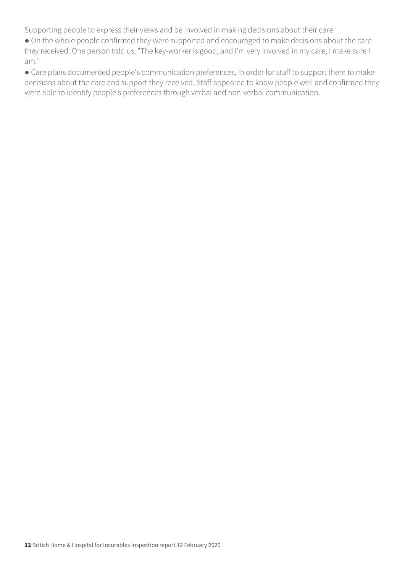Supporting people to express their views and be involved in making decisions about their care

● On the whole people confirmed they were supported and encouraged to make decisions about the care they received. One person told us, "The key-worker is good, and I'm very involved in my care, I make sure I am."

● Care plans documented people's communication preferences, in order for staff to support them to make decisions about the care and support they received. Staff appeared to know people well and confirmed they were able to identify people's preferences through verbal and non-verbal communication.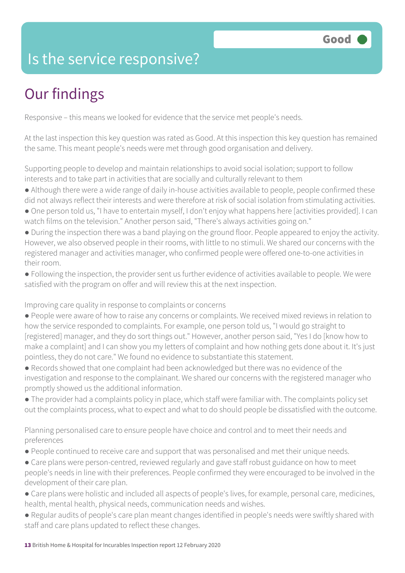### Is the service responsive?

# Our findings

Responsive – this means we looked for evidence that the service met people's needs.

At the last inspection this key question was rated as Good. At this inspection this key question has remained the same. This meant people's needs were met through good organisation and delivery.

Supporting people to develop and maintain relationships to avoid social isolation; support to follow interests and to take part in activities that are socially and culturally relevant to them

- Although there were a wide range of daily in-house activities available to people, people confirmed these
- did not always reflect their interests and were therefore at risk of social isolation from stimulating activities.
- One person told us, "I have to entertain myself, I don't enjoy what happens here [activities provided]. I can watch films on the television." Another person said, "There's always activities going on."
- During the inspection there was a band playing on the ground floor. People appeared to enjoy the activity. However, we also observed people in their rooms, with little to no stimuli. We shared our concerns with the registered manager and activities manager, who confirmed people were offered one-to-one activities in their room.
- Following the inspection, the provider sent us further evidence of activities available to people. We were satisfied with the program on offer and will review this at the next inspection.

Improving care quality in response to complaints or concerns

- People were aware of how to raise any concerns or complaints. We received mixed reviews in relation to how the service responded to complaints. For example, one person told us, "I would go straight to [registered] manager, and they do sort things out." However, another person said, "Yes I do [know how to make a complaint] and I can show you my letters of complaint and how nothing gets done about it. It's just pointless, they do not care." We found no evidence to substantiate this statement.
- Records showed that one complaint had been acknowledged but there was no evidence of the investigation and response to the complainant. We shared our concerns with the registered manager who promptly showed us the additional information.
- The provider had a complaints policy in place, which staff were familiar with. The complaints policy set out the complaints process, what to expect and what to do should people be dissatisfied with the outcome.

Planning personalised care to ensure people have choice and control and to meet their needs and preferences

- People continued to receive care and support that was personalised and met their unique needs.
- Care plans were person-centred, reviewed regularly and gave staff robust guidance on how to meet people's needs in line with their preferences. People confirmed they were encouraged to be involved in the development of their care plan.
- Care plans were holistic and included all aspects of people's lives, for example, personal care, medicines, health, mental health, physical needs, communication needs and wishes.
- Regular audits of people's care plan meant changes identified in people's needs were swiftly shared with staff and care plans updated to reflect these changes.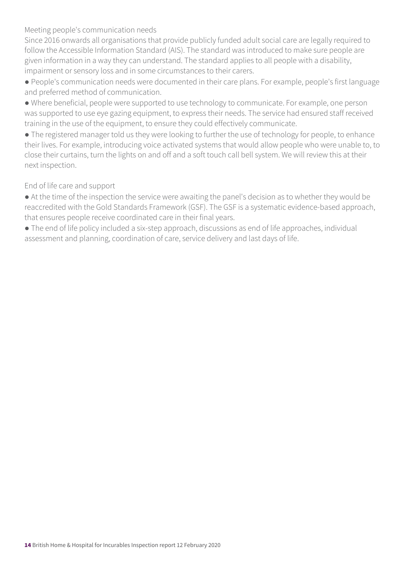Meeting people's communication needs

Since 2016 onwards all organisations that provide publicly funded adult social care are legally required to follow the Accessible Information Standard (AIS). The standard was introduced to make sure people are given information in a way they can understand. The standard applies to all people with a disability, impairment or sensory loss and in some circumstances to their carers.

- People's communication needs were documented in their care plans. For example, people's first language and preferred method of communication.
- Where beneficial, people were supported to use technology to communicate. For example, one person was supported to use eye gazing equipment, to express their needs. The service had ensured staff received training in the use of the equipment, to ensure they could effectively communicate.

• The registered manager told us they were looking to further the use of technology for people, to enhance their lives. For example, introducing voice activated systems that would allow people who were unable to, to close their curtains, turn the lights on and off and a soft touch call bell system. We will review this at their next inspection.

End of life care and support

- At the time of the inspection the service were awaiting the panel's decision as to whether they would be reaccredited with the Gold Standards Framework (GSF). The GSF is a systematic evidence-based approach, that ensures people receive coordinated care in their final years.
- The end of life policy included a six-step approach, discussions as end of life approaches, individual assessment and planning, coordination of care, service delivery and last days of life.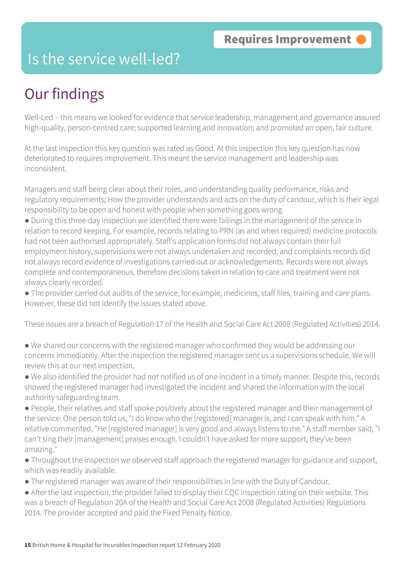### Is the service well-led?

## Our findings

Well-Led – this means we looked for evidence that service leadership, management and governance assured high-quality, person-centred care; supported learning and innovation; and promoted an open, fair culture.

At the last inspection this key question was rated as Good. At this inspection this key question has now deteriorated to requires improvement. This meant the service management and leadership was inconsistent.

Managers and staff being clear about their roles, and understanding quality performance, risks and regulatory requirements; How the provider understands and acts on the duty of candour, which is their legal responsibility to be open and honest with people when something goes wrong

- During this three-day inspection we identified there were failings in the management of the service in relation to record keeping. For example, records relating to PRN (as and when required) medicine protocols had not been authorised appropriately. Staff's application forms did not always contain their full employment history, supervisions were not always undertaken and recorded, and complaints records did not always record evidence of investigations carried out or acknowledgements. Records were not always complete and contemporaneous, therefore decisions taken in relation to care and treatment were not always clearly recorded.
- The provider carried out audits of the service, for example, medicines, staff files, training and care plans. However, these did not identify the issues stated above.

These issues are a breach of Regulation 17 of the Health and Social Care Act 2008 (Regulated Activities) 2014.

- We shared our concerns with the registered manager who confirmed they would be addressing our concerns immediately. After the inspection the registered manager sent us a supervisions schedule. We will review this at our next inspection.
- We also identified the provider had not notified us of one incident in a timely manner. Despite this, records showed the registered manager had investigated the incident and shared the information with the local authority safeguarding team.
- People, their relatives and staff spoke positively about the registered manager and their management of the service. One person told us, "I do know who the [registered] manager is, and I can speak with him." A relative commented, "He [registered manager] is very good and always listens to me." A staff member said, "I can't sing their [management] praises enough. I couldn't have asked for more support, they've been amazing."
- Throughout the inspection we observed staff approach the registered manager for guidance and support, which was readily available.
- The registered manager was aware of their responsibilities in line with the Duty of Candour.
- After the last inspection, the provider failed to display their CQC inspection rating on their website. This was a breach of Regulation 20A of the Health and Social Care Act 2008 (Regulated Activities) Regulations 2014. The provider accepted and paid the Fixed Penalty Notice.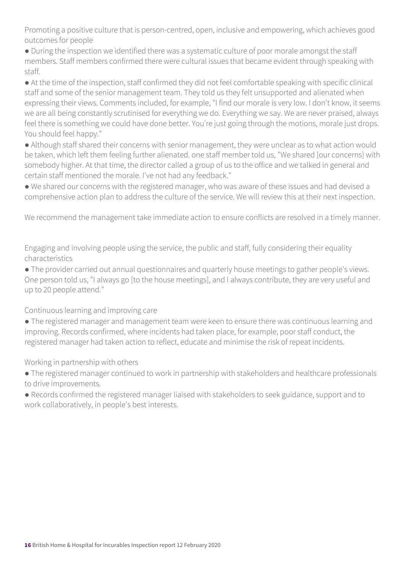Promoting a positive culture that is person-centred, open, inclusive and empowering, which achieves good outcomes for people

● During the inspection we identified there was a systematic culture of poor morale amongst the staff members. Staff members confirmed there were cultural issues that became evident through speaking with staff.

● At the time of the inspection, staff confirmed they did not feel comfortable speaking with specific clinical staff and some of the senior management team. They told us they felt unsupported and alienated when expressing their views. Comments included, for example, "I find our morale is very low. I don't know, it seems we are all being constantly scrutinised for everything we do. Everything we say. We are never praised, always feel there is something we could have done better. You're just going through the motions, morale just drops. You should feel happy."

● Although staff shared their concerns with senior management, they were unclear as to what action would be taken, which left them feeling further alienated. one staff member told us, "We shared [our concerns] with somebody higher. At that time, the director called a group of us to the office and we talked in general and certain staff mentioned the morale. I've not had any feedback."

● We shared our concerns with the registered manager, who was aware of these issues and had devised a comprehensive action plan to address the culture of the service. We will review this at their next inspection.

We recommend the management take immediate action to ensure conflicts are resolved in a timely manner.

Engaging and involving people using the service, the public and staff, fully considering their equality characteristics

● The provider carried out annual questionnaires and quarterly house meetings to gather people's views. One person told us, "I always go [to the house meetings], and I always contribute, they are very useful and up to 20 people attend."

Continuous learning and improving care

● The registered manager and management team were keen to ensure there was continuous learning and improving. Records confirmed, where incidents had taken place, for example, poor staff conduct, the registered manager had taken action to reflect, educate and minimise the risk of repeat incidents.

Working in partnership with others

● The registered manager continued to work in partnership with stakeholders and healthcare professionals to drive improvements.

● Records confirmed the registered manager liaised with stakeholders to seek guidance, support and to work collaboratively, in people's best interests.